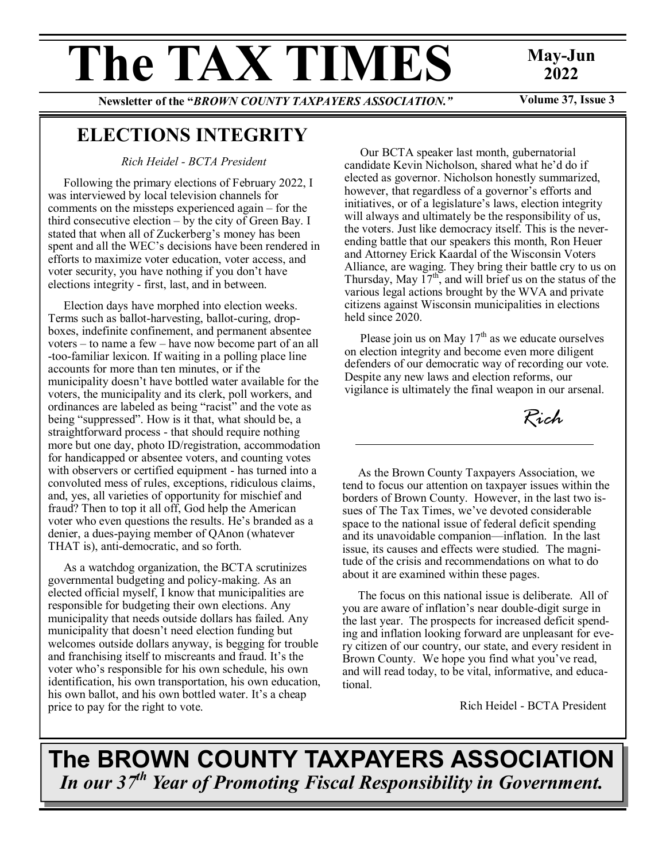# The TAX TIMES May-Jun

## **2022**

Newsletter of the "*BROWN COUNTY TAXPAYERS ASSOCIATION."* Volume 37, Issue 3

## **ELECTIONS INTEGRITY**

*Rich Heidel - BCTA President*

Following the primary elections of February 2022, I was interviewed by local television channels for comments on the missteps experienced again – for the third consecutive election – by the city of Green Bay. I stated that when all of Zuckerberg's money has been spent and all the WEC's decisions have been rendered in efforts to maximize voter education, voter access, and voter security, you have nothing if you don't have elections integrity - first, last, and in between.

Election days have morphed into election weeks. Terms such as ballot-harvesting, ballot-curing, dropboxes, indefinite confinement, and permanent absentee voters – to name a few – have now become part of an all -too-familiar lexicon. If waiting in a polling place line accounts for more than ten minutes, or if the municipality doesn't have bottled water available for the voters, the municipality and its clerk, poll workers, and ordinances are labeled as being "racist" and the vote as being "suppressed". How is it that, what should be, a straightforward process - that should require nothing more but one day, photo ID/registration, accommodation for handicapped or absentee voters, and counting votes with observers or certified equipment - has turned into a convoluted mess of rules, exceptions, ridiculous claims, and, yes, all varieties of opportunity for mischief and fraud? Then to top it all off, God help the American voter who even questions the results. He's branded as a denier, a dues-paying member of QAnon (whatever THAT is), anti-democratic, and so forth.

As a watchdog organization, the BCTA scrutinizes governmental budgeting and policy-making. As an elected official myself, I know that municipalities are responsible for budgeting their own elections. Any municipality that needs outside dollars has failed. Any municipality that doesn't need election funding but welcomes outside dollars anyway, is begging for trouble and franchising itself to miscreants and fraud. It's the voter who's responsible for his own schedule, his own identification, his own transportation, his own education, his own ballot, and his own bottled water. It's a cheap price to pay for the right to vote.

Our BCTA speaker last month, gubernatorial candidate Kevin Nicholson, shared what he'd do if elected as governor. Nicholson honestly summarized, however, that regardless of a governor's efforts and initiatives, or of a legislature's laws, election integrity will always and ultimately be the responsibility of us, the voters. Just like democracy itself. This is the neverending battle that our speakers this month, Ron Heuer and Attorney Erick Kaardal of the Wisconsin Voters Alliance, are waging. They bring their battle cry to us on Thursday, May  $17<sup>th</sup>$ , and will brief us on the status of the various legal actions brought by the WVA and private citizens against Wisconsin municipalities in elections held since 2020.

Please join us on May  $17<sup>th</sup>$  as we educate ourselves on election integrity and become even more diligent defenders of our democratic way of recording our vote. Despite any new laws and election reforms, our vigilance is ultimately the final weapon in our arsenal.

*Rich*

As the Brown County Taxpayers Association, we tend to focus our attention on taxpayer issues within the borders of Brown County. However, in the last two issues of The Tax Times, we've devoted considerable space to the national issue of federal deficit spending and its unavoidable companion—inflation. In the last issue, its causes and effects were studied. The magnitude of the crisis and recommendations on what to do about it are examined within these pages.

The focus on this national issue is deliberate. All of you are aware of inflation's near double-digit surge in the last year. The prospects for increased deficit spending and inflation looking forward are unpleasant for every citizen of our country, our state, and every resident in Brown County. We hope you find what you've read, and will read today, to be vital, informative, and educational.

Rich Heidel - BCTA President

## **The BROWN COUNTY TAXPAYERS ASSOCIATION**  *In our 37th Year of Promoting Fiscal Responsibility in Government.*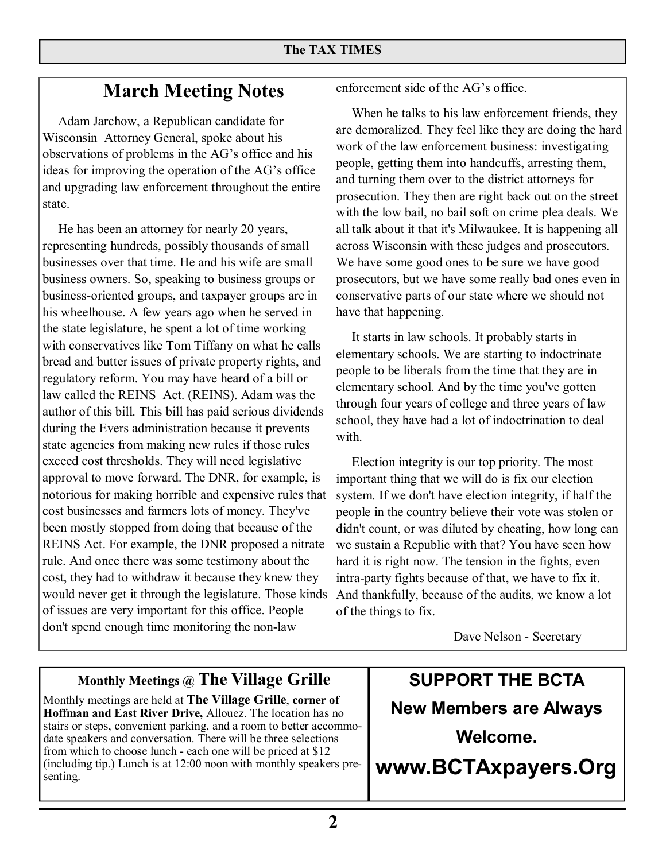## **March Meeting Notes**

Adam Jarchow, a Republican candidate for Wisconsin Attorney General, spoke about his observations of problems in the AG's office and his ideas for improving the operation of the AG's office and upgrading law enforcement throughout the entire state.

He has been an attorney for nearly 20 years, representing hundreds, possibly thousands of small businesses over that time. He and his wife are small business owners. So, speaking to business groups or business-oriented groups, and taxpayer groups are in his wheelhouse. A few years ago when he served in the state legislature, he spent a lot of time working with conservatives like Tom Tiffany on what he calls bread and butter issues of private property rights, and regulatory reform. You may have heard of a bill or law called the REINS Act. (REINS). Adam was the author of this bill. This bill has paid serious dividends during the Evers administration because it prevents state agencies from making new rules if those rules exceed cost thresholds. They will need legislative approval to move forward. The DNR, for example, is notorious for making horrible and expensive rules that cost businesses and farmers lots of money. They've been mostly stopped from doing that because of the REINS Act. For example, the DNR proposed a nitrate rule. And once there was some testimony about the cost, they had to withdraw it because they knew they would never get it through the legislature. Those kinds of issues are very important for this office. People don't spend enough time monitoring the non-law

enforcement side of the AG's office.

When he talks to his law enforcement friends, they are demoralized. They feel like they are doing the hard work of the law enforcement business: investigating people, getting them into handcuffs, arresting them, and turning them over to the district attorneys for prosecution. They then are right back out on the street with the low bail, no bail soft on crime plea deals. We all talk about it that it's Milwaukee. It is happening all across Wisconsin with these judges and prosecutors. We have some good ones to be sure we have good prosecutors, but we have some really bad ones even in conservative parts of our state where we should not have that happening.

It starts in law schools. It probably starts in elementary schools. We are starting to indoctrinate people to be liberals from the time that they are in elementary school. And by the time you've gotten through four years of college and three years of law school, they have had a lot of indoctrination to deal with.

Election integrity is our top priority. The most important thing that we will do is fix our election system. If we don't have election integrity, if half the people in the country believe their vote was stolen or didn't count, or was diluted by cheating, how long can we sustain a Republic with that? You have seen how hard it is right now. The tension in the fights, even intra-party fights because of that, we have to fix it. And thankfully, because of the audits, we know a lot of the things to fix.

Dave Nelson - Secretary

#### **Monthly Meetings @ The Village Grille**

Monthly meetings are held at **The Village Grille**, **corner of Hoffman and East River Drive,** Allouez. The location has no stairs or steps, convenient parking, and a room to better accommodate speakers and conversation. There will be three selections from which to choose lunch - each one will be priced at \$12 (including tip.) Lunch is at 12:00 noon with monthly speakers presenting.

**SUPPORT THE BCTA New Members are Always Welcome.** 

**www.BCTAxpayers.Org**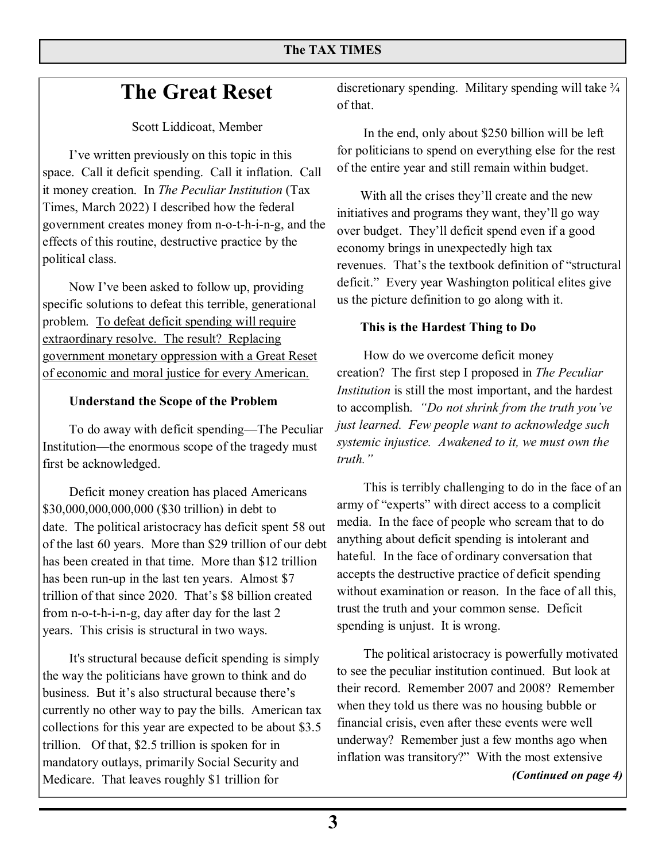## **The Great Reset**

Scott Liddicoat, Member

 I've written previously on this topic in this space. Call it deficit spending. Call it inflation. Call it money creation. In *The Peculiar Institution* (Tax Times, March 2022) I described how the federal government creates money from n-o-t-h-i-n-g, and the effects of this routine, destructive practice by the political class.

 Now I've been asked to follow up, providing specific solutions to defeat this terrible, generational problem. To defeat deficit spending will require extraordinary resolve. The result? Replacing government monetary oppression with a Great Reset of economic and moral justice for every American.

#### **Understand the Scope of the Problem**

To do away with deficit spending—The Peculiar Institution—the enormous scope of the tragedy must first be acknowledged.

 $$30,000,000,000,000$  (\$30 trillion) in debt to  $$30,000,000,000,000$ date. The political aristocracy has deficit spent 58 out media. In the of the last 60 years. More than \$29 trillion of our debt  $\frac{anytning}{notfold}$ . In the has been created in that time. More than \$12 trillion hall equal that has been run-up in the last ten years. Almost \$7 accepts the trillion of that since 2020. That's  $$8$  billion created without example. from n-o-t-h-i-n-g, day after day for the last  $2$  Deficit money creation has placed Americans years. This crisis is structural in two ways.

 It's structural because deficit spending is simply the way the politicians have grown to think and do business. But it's also structural because there's currently no other way to pay the bills. American tax collections for this year are expected to be about \$3.5 trillion. Of that, \$2.5 trillion is spoken for in mandatory outlays, primarily Social Security and Medicare. That leaves roughly \$1 trillion for

discretionary spending. Military spending will take  $\frac{3}{4}$ of that.

 In the end, only about \$250 billion will be left for politicians to spend on everything else for the rest of the entire year and still remain within budget.

With all the crises they'll create and the new initiatives and programs they want, they'll go way over budget. They'll deficit spend even if a good economy brings in unexpectedly high tax revenues. That's the textbook definition of "structural deficit." Every year Washington political elites give us the picture definition to go along with it.

#### **This is the Hardest Thing to Do**

 How do we overcome deficit money creation? The first step I proposed in *The Peculiar Institution* is still the most important, and the hardest to accomplish. *"Do not shrink from the truth you've just learned. Few people want to acknowledge such systemic injustice. Awakened to it, we must own the truth."*

than \$29 trillion of our debt anything about deficit spending is intolerant and That's \$8 billion created without examination or reason. In the face of all this, This is terribly challenging to do in the face of an army of "experts" with direct access to a complicit media. In the face of people who scream that to do hateful. In the face of ordinary conversation that accepts the destructive practice of deficit spending trust the truth and your common sense. Deficit spending is unjust. It is wrong.

> The political aristocracy is powerfully motivated to see the peculiar institution continued. But look at their record. Remember 2007 and 2008? Remember when they told us there was no housing bubble or financial crisis, even after these events were well underway? Remember just a few months ago when inflation was transitory?" With the most extensive

*(Continued on page 4)*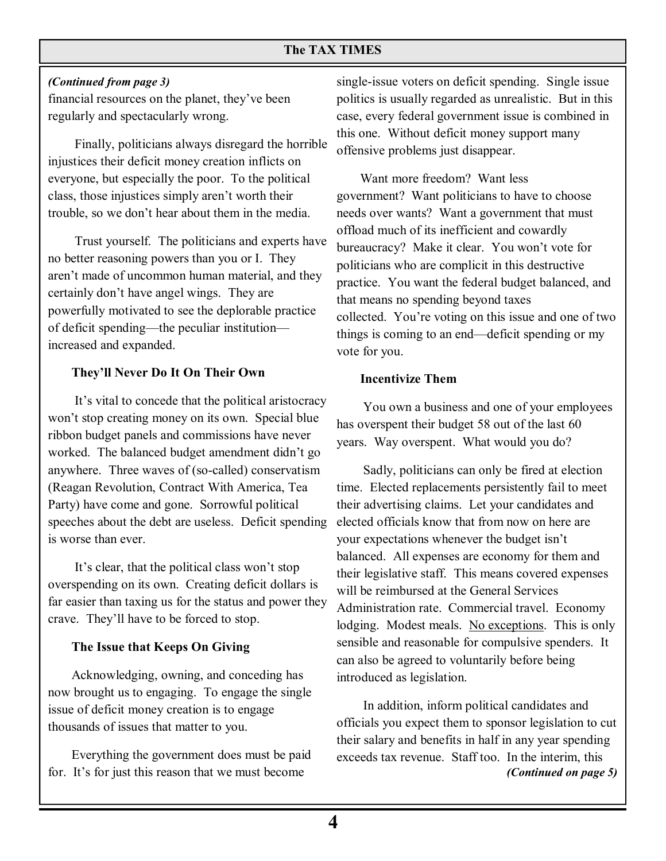#### **The TAX TIMES**

#### *(Continued from page 3)*

financial resources on the planet, they've been regularly and spectacularly wrong.

 Finally, politicians always disregard the horrible injustices their deficit money creation inflicts on everyone, but especially the poor. To the political class, those injustices simply aren't worth their trouble, so we don't hear about them in the media.

 Trust yourself. The politicians and experts have no better reasoning powers than you or I. They aren't made of uncommon human material, and they certainly don't have angel wings. They are powerfully motivated to see the deplorable practice of deficit spending—the peculiar institution increased and expanded.

#### **They'll Never Do It On Their Own**

 It's vital to concede that the political aristocracy won't stop creating money on its own. Special blue ribbon budget panels and commissions have never worked. The balanced budget amendment didn't go anywhere. Three waves of (so-called) conservatism (Reagan Revolution, Contract With America, Tea Party) have come and gone. Sorrowful political speeches about the debt are useless. Deficit spending is worse than ever.

 It's clear, that the political class won't stop overspending on its own. Creating deficit dollars is far easier than taxing us for the status and power they crave. They'll have to be forced to stop.

#### **The Issue that Keeps On Giving**

Acknowledging, owning, and conceding has now brought us to engaging. To engage the single issue of deficit money creation is to engage thousands of issues that matter to you.

Everything the government does must be paid for. It's for just this reason that we must become

single-issue voters on deficit spending. Single issue politics is usually regarded as unrealistic. But in this case, every federal government issue is combined in this one. Without deficit money support many offensive problems just disappear.

Want more freedom? Want less government? Want politicians to have to choose needs over wants? Want a government that must offload much of its inefficient and cowardly bureaucracy? Make it clear. You won't vote for politicians who are complicit in this destructive practice. You want the federal budget balanced, and that means no spending beyond taxes collected. You're voting on this issue and one of two things is coming to an end—deficit spending or my vote for you.

#### **Incentivize Them**

 You own a business and one of your employees has overspent their budget 58 out of the last 60 years. Way overspent. What would you do?

 Sadly, politicians can only be fired at election time. Elected replacements persistently fail to meet their advertising claims. Let your candidates and elected officials know that from now on here are your expectations whenever the budget isn't balanced. All expenses are economy for them and their legislative staff. This means covered expenses will be reimbursed at the General Services Administration rate. Commercial travel. Economy lodging. Modest meals. No exceptions. This is only sensible and reasonable for compulsive spenders. It can also be agreed to voluntarily before being introduced as legislation.

 In addition, inform political candidates and officials you expect them to sponsor legislation to cut their salary and benefits in half in any year spending exceeds tax revenue. Staff too. In the interim, this *(Continued on page 5)*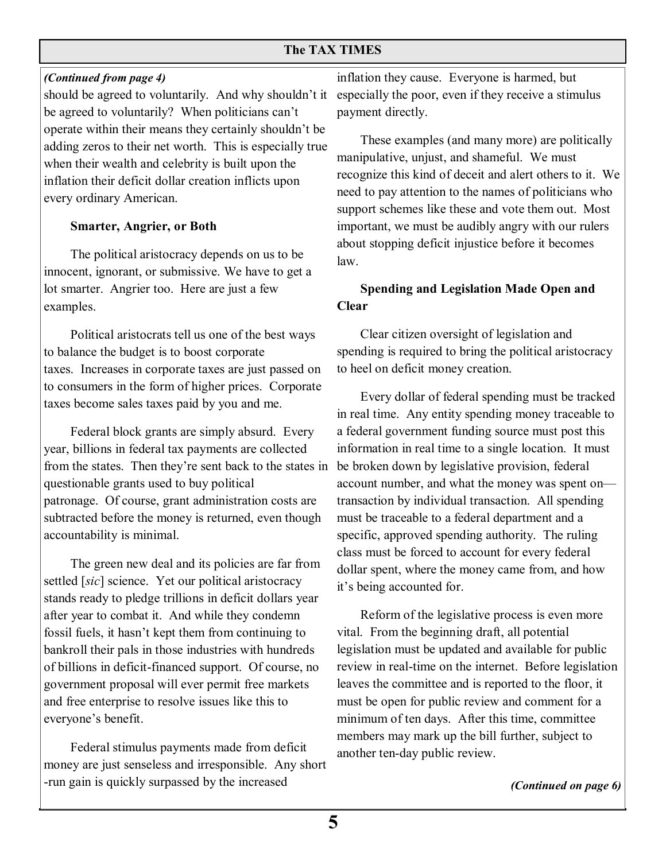#### *(Continued from page 4)*

should be agreed to voluntarily. And why shouldn't it be agreed to voluntarily? When politicians can't operate within their means they certainly shouldn't be adding zeros to their net worth. This is especially true when their wealth and celebrity is built upon the inflation their deficit dollar creation inflicts upon every ordinary American.

#### **Smarter, Angrier, or Both**

 The political aristocracy depends on us to be innocent, ignorant, or submissive. We have to get a lot smarter. Angrier too. Here are just a few examples.

 Political aristocrats tell us one of the best ways to balance the budget is to boost corporate taxes. Increases in corporate taxes are just passed on to consumers in the form of higher prices. Corporate taxes become sales taxes paid by you and me.

 Federal block grants are simply absurd. Every year, billions in federal tax payments are collected from the states. Then they're sent back to the states in questionable grants used to buy political patronage. Of course, grant administration costs are subtracted before the money is returned, even though accountability is minimal.

 The green new deal and its policies are far from settled [*sic*] science. Yet our political aristocracy stands ready to pledge trillions in deficit dollars year after year to combat it. And while they condemn fossil fuels, it hasn't kept them from continuing to bankroll their pals in those industries with hundreds of billions in deficit-financed support. Of course, no government proposal will ever permit free markets and free enterprise to resolve issues like this to everyone's benefit.

 Federal stimulus payments made from deficit money are just senseless and irresponsible. Any short -run gain is quickly surpassed by the increased

inflation they cause. Everyone is harmed, but especially the poor, even if they receive a stimulus payment directly.

These examples (and many more) are politically manipulative, unjust, and shameful. We must recognize this kind of deceit and alert others to it. We need to pay attention to the names of politicians who support schemes like these and vote them out. Most important, we must be audibly angry with our rulers about stopping deficit injustice before it becomes law.

#### **Spending and Legislation Made Open and Clear**

Clear citizen oversight of legislation and spending is required to bring the political aristocracy to heel on deficit money creation.

Every dollar of federal spending must be tracked in real time. Any entity spending money traceable to a federal government funding source must post this information in real time to a single location. It must be broken down by legislative provision, federal account number, and what the money was spent on transaction by individual transaction. All spending must be traceable to a federal department and a specific, approved spending authority. The ruling class must be forced to account for every federal dollar spent, where the money came from, and how it's being accounted for.

Reform of the legislative process is even more vital. From the beginning draft, all potential legislation must be updated and available for public review in real-time on the internet. Before legislation leaves the committee and is reported to the floor, it must be open for public review and comment for a minimum of ten days. After this time, committee members may mark up the bill further, subject to another ten-day public review.

*(Continued on page 6)*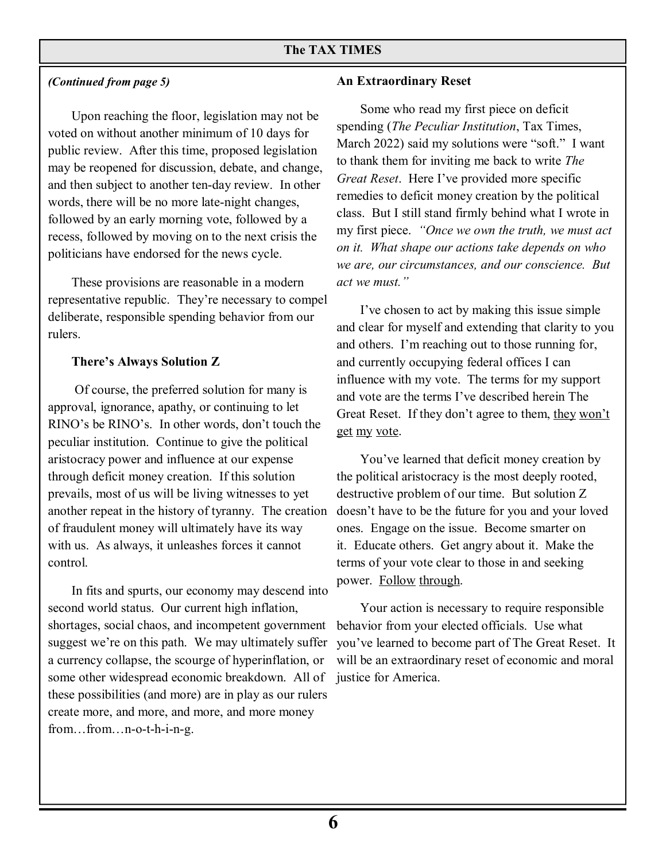#### *(Continued from page 5)*

Upon reaching the floor, legislation may not be voted on without another minimum of 10 days for public review. After this time, proposed legislation may be reopened for discussion, debate, and change, and then subject to another ten-day review. In other words, there will be no more late-night changes, followed by an early morning vote, followed by a recess, followed by moving on to the next crisis the politicians have endorsed for the news cycle.

These provisions are reasonable in a modern representative republic. They're necessary to compel deliberate, responsible spending behavior from our rulers.

#### **There's Always Solution Z**

 Of course, the preferred solution for many is approval, ignorance, apathy, or continuing to let RINO's be RINO's. In other words, don't touch the peculiar institution. Continue to give the political aristocracy power and influence at our expense through deficit money creation. If this solution prevails, most of us will be living witnesses to yet another repeat in the history of tyranny. The creation of fraudulent money will ultimately have its way with us. As always, it unleashes forces it cannot control.

In fits and spurts, our economy may descend into second world status. Our current high inflation, shortages, social chaos, and incompetent government suggest we're on this path. We may ultimately suffer a currency collapse, the scourge of hyperinflation, or some other widespread economic breakdown. All of these possibilities (and more) are in play as our rulers create more, and more, and more, and more money from…from…n-o-t-h-i-n-g.

#### **An Extraordinary Reset**

Some who read my first piece on deficit spending (*The Peculiar Institution*, Tax Times, March 2022) said my solutions were "soft." I want to thank them for inviting me back to write *The Great Reset*. Here I've provided more specific remedies to deficit money creation by the political class. But I still stand firmly behind what I wrote in my first piece. *"Once we own the truth, we must act on it. What shape our actions take depends on who we are, our circumstances, and our conscience. But act we must."*

I've chosen to act by making this issue simple and clear for myself and extending that clarity to you and others. I'm reaching out to those running for, and currently occupying federal offices I can influence with my vote. The terms for my support and vote are the terms I've described herein The Great Reset. If they don't agree to them, they won't get my vote.

You've learned that deficit money creation by the political aristocracy is the most deeply rooted, destructive problem of our time. But solution Z doesn't have to be the future for you and your loved ones. Engage on the issue. Become smarter on it. Educate others. Get angry about it. Make the terms of your vote clear to those in and seeking power. Follow through.

Your action is necessary to require responsible behavior from your elected officials. Use what you've learned to become part of The Great Reset. It will be an extraordinary reset of economic and moral justice for America.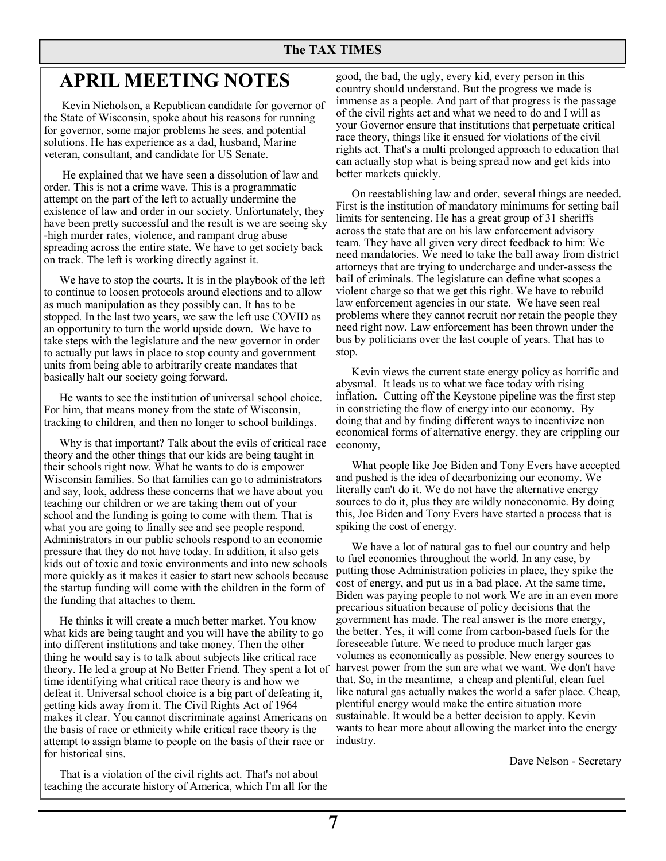### **APRIL MEETING NOTES**

Kevin Nicholson, a Republican candidate for governor of the State of Wisconsin, spoke about his reasons for running for governor, some major problems he sees, and potential solutions. He has experience as a dad, husband, Marine veteran, consultant, and candidate for US Senate.

 He explained that we have seen a dissolution of law and order. This is not a crime wave. This is a programmatic attempt on the part of the left to actually undermine the existence of law and order in our society. Unfortunately, they have been pretty successful and the result is we are seeing sky -high murder rates, violence, and rampant drug abuse spreading across the entire state. We have to get society back on track. The left is working directly against it.

We have to stop the courts. It is in the playbook of the left to continue to loosen protocols around elections and to allow as much manipulation as they possibly can. It has to be stopped. In the last two years, we saw the left use COVID as an opportunity to turn the world upside down. We have to take steps with the legislature and the new governor in order to actually put laws in place to stop county and government units from being able to arbitrarily create mandates that basically halt our society going forward.

He wants to see the institution of universal school choice. For him, that means money from the state of Wisconsin, tracking to children, and then no longer to school buildings.

Why is that important? Talk about the evils of critical race theory and the other things that our kids are being taught in their schools right now. What he wants to do is empower Wisconsin families. So that families can go to administrators and say, look, address these concerns that we have about you teaching our children or we are taking them out of your school and the funding is going to come with them. That is what you are going to finally see and see people respond. Administrators in our public schools respond to an economic pressure that they do not have today. In addition, it also gets kids out of toxic and toxic environments and into new schools more quickly as it makes it easier to start new schools because the startup funding will come with the children in the form of the funding that attaches to them.

He thinks it will create a much better market. You know what kids are being taught and you will have the ability to go into different institutions and take money. Then the other thing he would say is to talk about subjects like critical race theory. He led a group at No Better Friend. They spent a lot of time identifying what critical race theory is and how we defeat it. Universal school choice is a big part of defeating it, getting kids away from it. The Civil Rights Act of 1964 makes it clear. You cannot discriminate against Americans on the basis of race or ethnicity while critical race theory is the attempt to assign blame to people on the basis of their race or for historical sins.

That is a violation of the civil rights act. That's not about teaching the accurate history of America, which I'm all for the

good, the bad, the ugly, every kid, every person in this country should understand. But the progress we made is immense as a people. And part of that progress is the passage of the civil rights act and what we need to do and I will as your Governor ensure that institutions that perpetuate critical race theory, things like it ensued for violations of the civil rights act. That's a multi prolonged approach to education that can actually stop what is being spread now and get kids into better markets quickly.

On reestablishing law and order, several things are needed. First is the institution of mandatory minimums for setting bail limits for sentencing. He has a great group of 31 sheriffs across the state that are on his law enforcement advisory team. They have all given very direct feedback to him: We need mandatories. We need to take the ball away from district attorneys that are trying to undercharge and under-assess the bail of criminals. The legislature can define what scopes a violent charge so that we get this right. We have to rebuild law enforcement agencies in our state. We have seen real problems where they cannot recruit nor retain the people they need right now. Law enforcement has been thrown under the bus by politicians over the last couple of years. That has to stop.

Kevin views the current state energy policy as horrific and abysmal. It leads us to what we face today with rising inflation. Cutting off the Keystone pipeline was the first step in constricting the flow of energy into our economy. By doing that and by finding different ways to incentivize non economical forms of alternative energy, they are crippling our economy,

What people like Joe Biden and Tony Evers have accepted and pushed is the idea of decarbonizing our economy. We literally can't do it. We do not have the alternative energy sources to do it, plus they are wildly noneconomic. By doing this, Joe Biden and Tony Evers have started a process that is spiking the cost of energy.

We have a lot of natural gas to fuel our country and help to fuel economies throughout the world. In any case, by putting those Administration policies in place, they spike the cost of energy, and put us in a bad place. At the same time, Biden was paying people to not work We are in an even more precarious situation because of policy decisions that the government has made. The real answer is the more energy, the better. Yes, it will come from carbon-based fuels for the foreseeable future. We need to produce much larger gas volumes as economically as possible. New energy sources to harvest power from the sun are what we want. We don't have that. So, in the meantime, a cheap and plentiful, clean fuel like natural gas actually makes the world a safer place. Cheap, plentiful energy would make the entire situation more sustainable. It would be a better decision to apply. Kevin wants to hear more about allowing the market into the energy industry.

Dave Nelson - Secretary